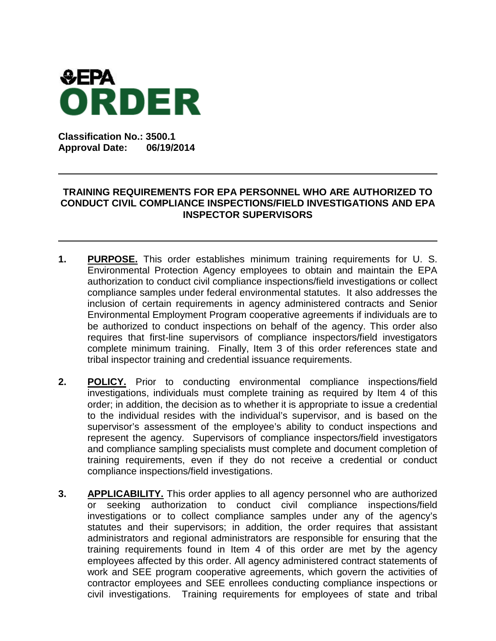

**Classification No.: 3500.1 Approval Date: 06/19/2014**

## **TRAINING REQUIREMENTS FOR EPA PERSONNEL WHO ARE AUTHORIZED TO CONDUCT CIVIL COMPLIANCE INSPECTIONS/FIELD INVESTIGATIONS AND EPA INSPECTOR SUPERVISORS**

- **1. PURPOSE.** This order establishes minimum training requirements for U. S. Environmental Protection Agency employees to obtain and maintain the EPA authorization to conduct civil compliance inspections/field investigations or collect compliance samples under federal environmental statutes. It also addresses the inclusion of certain requirements in agency administered contracts and Senior Environmental Employment Program cooperative agreements if individuals are to be authorized to conduct inspections on behalf of the agency. This order also requires that first-line supervisors of compliance inspectors/field investigators complete minimum training. Finally, Item 3 of this order references state and tribal inspector training and credential issuance requirements.
- **2. POLICY.** Prior to conducting environmental compliance inspections/field investigations, individuals must complete training as required by Item 4 of this order; in addition, the decision as to whether it is appropriate to issue a credential to the individual resides with the individual's supervisor, and is based on the supervisor's assessment of the employee's ability to conduct inspections and represent the agency. Supervisors of compliance inspectors/field investigators and compliance sampling specialists must complete and document completion of training requirements, even if they do not receive a credential or conduct compliance inspections/field investigations.
- **3. APPLICABILITY.** This order applies to all agency personnel who are authorized or seeking authorization to conduct civil compliance inspections/field investigations or to collect compliance samples under any of the agency's statutes and their supervisors; in addition, the order requires that assistant administrators and regional administrators are responsible for ensuring that the training requirements found in Item 4 of this order are met by the agency employees affected by this order. All agency administered contract statements of work and SEE program cooperative agreements, which govern the activities of contractor employees and SEE enrollees conducting compliance inspections or civil investigations. Training requirements for employees of state and tribal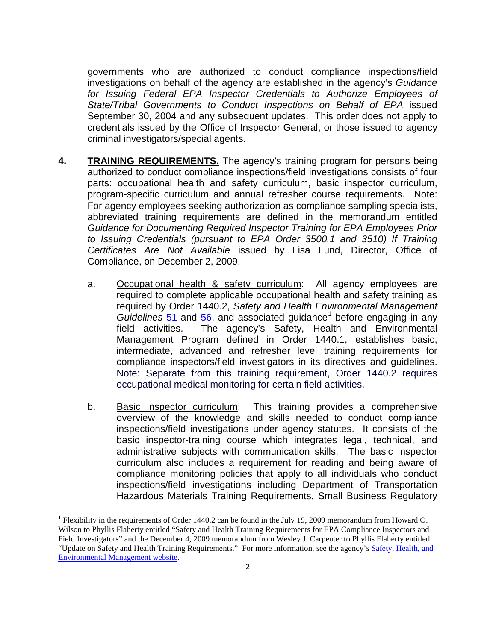governments who are authorized to conduct compliance inspections/field investigations on behalf of the agency are established in the agency's *Guidance for Issuing Federal EPA Inspector Credentials to Authorize Employees of State/Tribal Governments to Conduct Inspections on Behalf of EPA* issued September 30, 2004 and any subsequent updates. This order does not apply to credentials issued by the Office of Inspector General, or those issued to agency criminal investigators/special agents.

- **4. TRAINING REQUIREMENTS.** The agency's training program for persons being authorized to conduct compliance inspections/field investigations consists of four parts: occupational health and safety curriculum, basic inspector curriculum, program-specific curriculum and annual refresher course requirements. Note: For agency employees seeking authorization as compliance sampling specialists, abbreviated training requirements are defined in the memorandum entitled *Guidance for Documenting Required Inspector Training for EPA Employees Prior to Issuing Credentials (pursuant to EPA Order 3500.1 and 3510) If Training Certificates Are Not Available* issued by Lisa Lund, Director, Office of Compliance, on December 2, 2009.
	- a. Occupational health & safety curriculum: All agency employees are required to complete applicable occupational health and safety training as required by Order 1440.2, *Safety and Health Environmental Management Guidelines* [51](https://wiki.epa.gov/inspector/images/3/37/51_guideline_508_2011.pdf) and [56,](https://wiki.epa.gov/inspector/images/7/7b/56_guideline_2005.pdf) and associated guidance<sup>[1](#page-1-0)</sup> before engaging in any field activities. The agency's Safety, Health and Environmental Management Program defined in Order 1440.1, establishes basic, intermediate, advanced and refresher level training requirements for compliance inspectors/field investigators in its directives and guidelines. Note: Separate from this training requirement, Order 1440.2 requires occupational medical monitoring for certain field activities.
	- b. Basic inspector curriculum: This training provides a comprehensive overview of the knowledge and skills needed to conduct compliance inspections/field investigations under agency statutes. It consists of the basic inspector-training course which integrates legal, technical, and administrative subjects with communication skills. The basic inspector curriculum also includes a requirement for reading and being aware of compliance monitoring policies that apply to all individuals who conduct inspections/field investigations including Department of Transportation Hazardous Materials Training Requirements, Small Business Regulatory

 $\overline{a}$ 

<span id="page-1-0"></span><sup>&</sup>lt;sup>1</sup> Flexibility in the requirements of Order 1440.2 can be found in the July 19, 2009 memorandum from Howard O. Wilson to Phyllis Flaherty entitled "Safety and Health Training Requirements for EPA Compliance Inspectors and Field Investigators" and the December 4, 2009 memorandum from Wesley J. Carpenter to Phyllis Flaherty entitled "Update on Safety and Health Training Requirements." For more information, see the agency'[s Safety, Health, and](http://intranet.epa.gov/oaintran/shemd/national/policies/epa_orders.htm)  [Environmental Management website.](http://intranet.epa.gov/oaintran/shemd/national/policies/epa_orders.htm)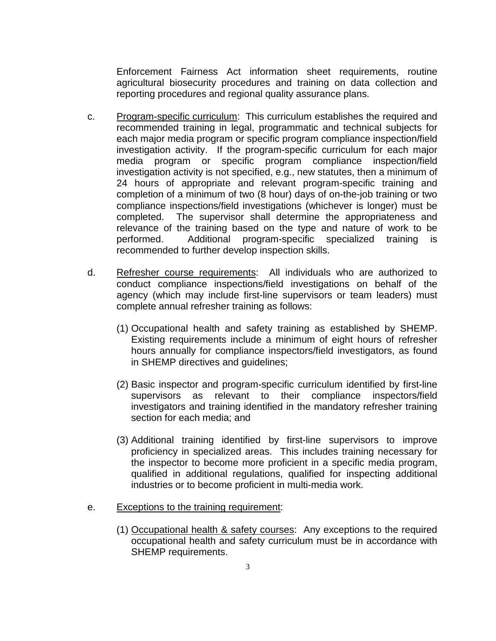Enforcement Fairness Act information sheet requirements, routine agricultural biosecurity procedures and training on data collection and reporting procedures and regional quality assurance plans.

- c. Program-specific curriculum: This curriculum establishes the required and recommended training in legal, programmatic and technical subjects for each major media program or specific program compliance inspection/field investigation activity. If the program-specific curriculum for each major media program or specific program compliance inspection/field investigation activity is not specified, e.g., new statutes, then a minimum of 24 hours of appropriate and relevant program-specific training and completion of a minimum of two (8 hour) days of on-the-job training or two compliance inspections/field investigations (whichever is longer) must be completed. The supervisor shall determine the appropriateness and relevance of the training based on the type and nature of work to be performed. Additional program-specific specialized training is recommended to further develop inspection skills.
- d. Refresher course requirements: All individuals who are authorized to conduct compliance inspections/field investigations on behalf of the agency (which may include first-line supervisors or team leaders) must complete annual refresher training as follows:
	- (1) Occupational health and safety training as established by SHEMP. Existing requirements include a minimum of eight hours of refresher hours annually for compliance inspectors/field investigators, as found in SHEMP directives and guidelines;
	- (2) Basic inspector and program-specific curriculum identified by first-line supervisors as relevant to their compliance inspectors/field investigators and training identified in the mandatory refresher training section for each media; and
	- (3) Additional training identified by first-line supervisors to improve proficiency in specialized areas. This includes training necessary for the inspector to become more proficient in a specific media program, qualified in additional regulations, qualified for inspecting additional industries or to become proficient in multi-media work.
- e. Exceptions to the training requirement:
	- (1) Occupational health & safety courses: Any exceptions to the required occupational health and safety curriculum must be in accordance with SHEMP requirements.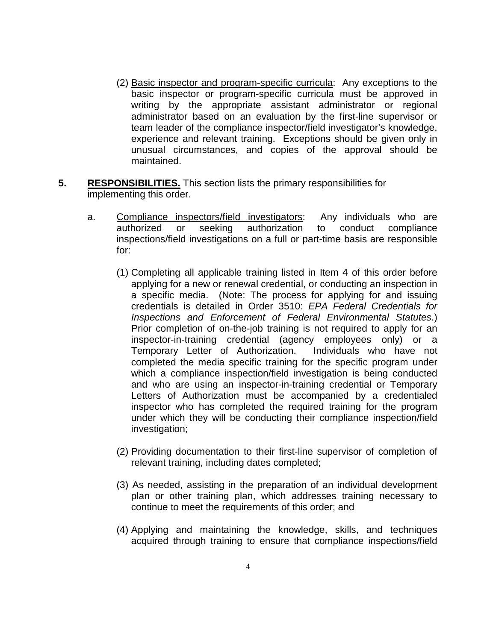- (2) Basic inspector and program-specific curricula: Any exceptions to the basic inspector or program-specific curricula must be approved in writing by the appropriate assistant administrator or regional administrator based on an evaluation by the first-line supervisor or team leader of the compliance inspector/field investigator's knowledge, experience and relevant training. Exceptions should be given only in unusual circumstances, and copies of the approval should be maintained.
- **5. RESPONSIBILITIES.** This section lists the primary responsibilities for implementing this order.
	- a. Compliance inspectors/field investigators: Any individuals who are authorized or seeking authorization to conduct compliance or seeking authorization to conduct compliance inspections/field investigations on a full or part-time basis are responsible for:
		- (1) Completing all applicable training listed in Item 4 of this order before applying for a new or renewal credential, or conducting an inspection in a specific media. (Note: The process for applying for and issuing credentials is detailed in Order 3510: *EPA Federal Credentials for Inspections and Enforcement of Federal Environmental Statutes*.) Prior completion of on-the-job training is not required to apply for an inspector-in-training credential (agency employees only) or a Temporary Letter of Authorization. Individuals who have not completed the media specific training for the specific program under which a compliance inspection/field investigation is being conducted and who are using an inspector-in-training credential or Temporary Letters of Authorization must be accompanied by a credentialed inspector who has completed the required training for the program under which they will be conducting their compliance inspection/field investigation;
		- (2) Providing documentation to their first-line supervisor of completion of relevant training, including dates completed;
		- (3) As needed, assisting in the preparation of an individual development plan or other training plan, which addresses training necessary to continue to meet the requirements of this order; and
		- (4) Applying and maintaining the knowledge, skills, and techniques acquired through training to ensure that compliance inspections/field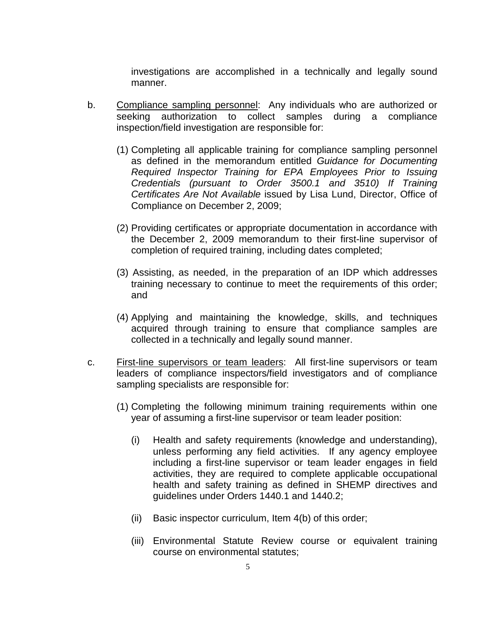investigations are accomplished in a technically and legally sound manner.

- b. Compliance sampling personnel: Any individuals who are authorized or seeking authorization to collect samples during a compliance inspection/field investigation are responsible for:
	- (1) Completing all applicable training for compliance sampling personnel as defined in the memorandum entitled *Guidance for Documenting Required Inspector Training for EPA Employees Prior to Issuing Credentials (pursuant to Order 3500.1 and 3510) If Training Certificates Are Not Available* issued by Lisa Lund, Director, Office of Compliance on December 2, 2009;
	- (2) Providing certificates or appropriate documentation in accordance with the December 2, 2009 memorandum to their first-line supervisor of completion of required training, including dates completed;
	- (3) Assisting, as needed, in the preparation of an IDP which addresses training necessary to continue to meet the requirements of this order; and
	- (4) Applying and maintaining the knowledge, skills, and techniques acquired through training to ensure that compliance samples are collected in a technically and legally sound manner.
- c. First-line supervisors or team leaders: All first-line supervisors or team leaders of compliance inspectors/field investigators and of compliance sampling specialists are responsible for:
	- (1) Completing the following minimum training requirements within one year of assuming a first-line supervisor or team leader position:
		- (i) Health and safety requirements (knowledge and understanding), unless performing any field activities. If any agency employee including a first-line supervisor or team leader engages in field activities, they are required to complete applicable occupational health and safety training as defined in SHEMP directives and guidelines under Orders 1440.1 and 1440.2;
		- (ii) Basic inspector curriculum, Item 4(b) of this order;
		- (iii) Environmental Statute Review course or equivalent training course on environmental statutes;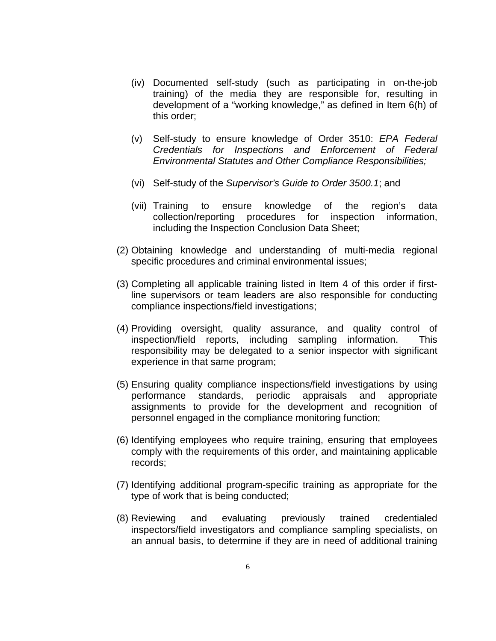- (iv) Documented self-study (such as participating in on-the-job training) of the media they are responsible for, resulting in development of a "working knowledge," as defined in Item 6(h) of this order;
- (v) Self-study to ensure knowledge of Order 3510: *EPA Federal Credentials for Inspections and Enforcement of Federal Environmental Statutes and Other Compliance Responsibilities;*
- (vi) Self-study of the *Supervisor's Guide to Order 3500.1*; and
- (vii) Training to ensure knowledge of the region's data collection/reporting procedures for inspection information, including the Inspection Conclusion Data Sheet;
- (2) Obtaining knowledge and understanding of multi-media regional specific procedures and criminal environmental issues;
- (3) Completing all applicable training listed in Item 4 of this order if firstline supervisors or team leaders are also responsible for conducting compliance inspections/field investigations;
- (4) Providing oversight, quality assurance, and quality control of inspection/field reports, including sampling information. This responsibility may be delegated to a senior inspector with significant experience in that same program;
- (5) Ensuring quality compliance inspections/field investigations by using performance standards, periodic appraisals and appropriate assignments to provide for the development and recognition of personnel engaged in the compliance monitoring function;
- (6) Identifying employees who require training, ensuring that employees comply with the requirements of this order, and maintaining applicable records;
- (7) Identifying additional program-specific training as appropriate for the type of work that is being conducted;
- (8) Reviewing and evaluating previously trained credentialed inspectors/field investigators and compliance sampling specialists, on an annual basis, to determine if they are in need of additional training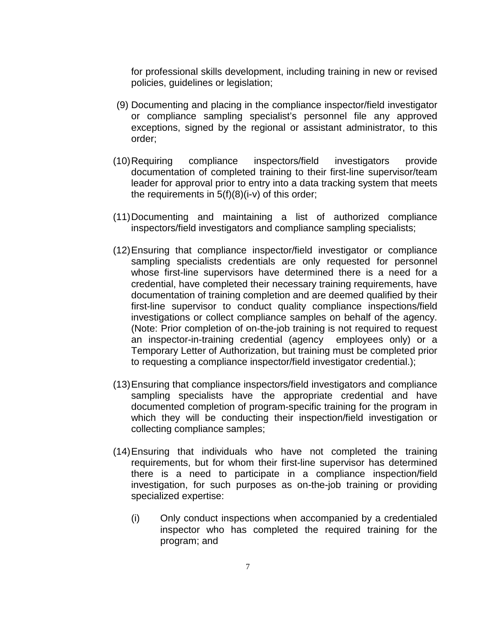for professional skills development, including training in new or revised policies, guidelines or legislation;

- (9) Documenting and placing in the compliance inspector/field investigator or compliance sampling specialist's personnel file any approved exceptions, signed by the regional or assistant administrator, to this order;
- (10)Requiring compliance inspectors/field investigators provide documentation of completed training to their first-line supervisor/team leader for approval prior to entry into a data tracking system that meets the requirements in  $5(f)(8)(i-v)$  of this order;
- (11)Documenting and maintaining a list of authorized compliance inspectors/field investigators and compliance sampling specialists;
- (12)Ensuring that compliance inspector/field investigator or compliance sampling specialists credentials are only requested for personnel whose first-line supervisors have determined there is a need for a credential, have completed their necessary training requirements, have documentation of training completion and are deemed qualified by their first-line supervisor to conduct quality compliance inspections/field investigations or collect compliance samples on behalf of the agency. (Note: Prior completion of on-the-job training is not required to request an inspector-in-training credential (agency employees only) or a Temporary Letter of Authorization, but training must be completed prior to requesting a compliance inspector/field investigator credential.);
- (13)Ensuring that compliance inspectors/field investigators and compliance sampling specialists have the appropriate credential and have documented completion of program-specific training for the program in which they will be conducting their inspection/field investigation or collecting compliance samples;
- (14)Ensuring that individuals who have not completed the training requirements, but for whom their first-line supervisor has determined there is a need to participate in a compliance inspection/field investigation, for such purposes as on-the-job training or providing specialized expertise:
	- (i) Only conduct inspections when accompanied by a credentialed inspector who has completed the required training for the program; and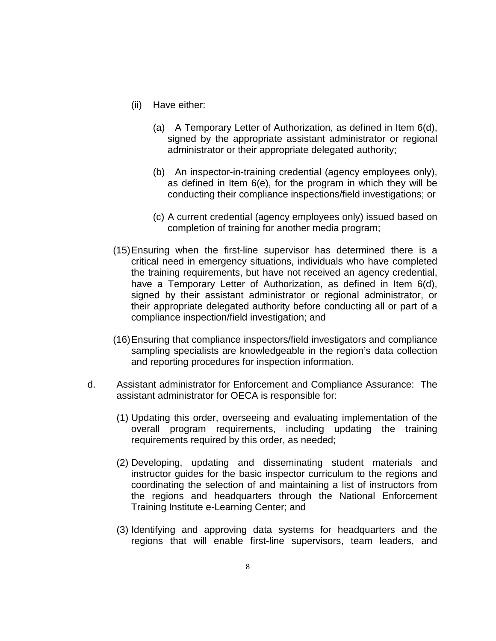- (ii) Have either:
	- (a) A Temporary Letter of Authorization, as defined in Item 6(d), signed by the appropriate assistant administrator or regional administrator or their appropriate delegated authority;
	- (b) An inspector-in-training credential (agency employees only), as defined in Item 6(e), for the program in which they will be conducting their compliance inspections/field investigations; or
	- (c) A current credential (agency employees only) issued based on completion of training for another media program;
- (15)Ensuring when the first-line supervisor has determined there is a critical need in emergency situations, individuals who have completed the training requirements, but have not received an agency credential, have a Temporary Letter of Authorization, as defined in Item 6(d), signed by their assistant administrator or regional administrator, or their appropriate delegated authority before conducting all or part of a compliance inspection/field investigation; and
- (16)Ensuring that compliance inspectors/field investigators and compliance sampling specialists are knowledgeable in the region's data collection and reporting procedures for inspection information.
- d. Assistant administrator for Enforcement and Compliance Assurance: The assistant administrator for OECA is responsible for:
	- (1) Updating this order, overseeing and evaluating implementation of the overall program requirements, including updating the training requirements required by this order, as needed;
	- (2) Developing, updating and disseminating student materials and instructor guides for the basic inspector curriculum to the regions and coordinating the selection of and maintaining a list of instructors from the regions and headquarters through the National Enforcement Training Institute e-Learning Center; and
	- (3) Identifying and approving data systems for headquarters and the regions that will enable first-line supervisors, team leaders, and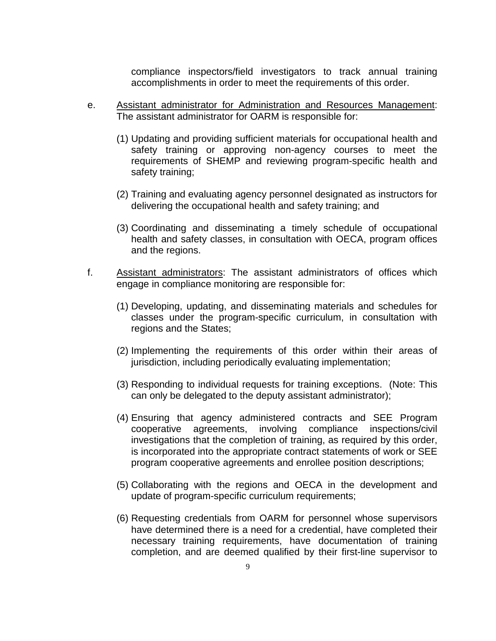compliance inspectors/field investigators to track annual training accomplishments in order to meet the requirements of this order.

- e. Assistant administrator for Administration and Resources Management: The assistant administrator for OARM is responsible for:
	- (1) Updating and providing sufficient materials for occupational health and safety training or approving non-agency courses to meet the requirements of SHEMP and reviewing program-specific health and safety training;
	- (2) Training and evaluating agency personnel designated as instructors for delivering the occupational health and safety training; and
	- (3) Coordinating and disseminating a timely schedule of occupational health and safety classes, in consultation with OECA, program offices and the regions.
- f. Assistant administrators: The assistant administrators of offices which engage in compliance monitoring are responsible for:
	- (1) Developing, updating, and disseminating materials and schedules for classes under the program-specific curriculum, in consultation with regions and the States;
	- (2) Implementing the requirements of this order within their areas of jurisdiction, including periodically evaluating implementation;
	- (3) Responding to individual requests for training exceptions. (Note: This can only be delegated to the deputy assistant administrator);
	- (4) Ensuring that agency administered contracts and SEE Program cooperative agreements, involving compliance inspections/civil investigations that the completion of training, as required by this order, is incorporated into the appropriate contract statements of work or SEE program cooperative agreements and enrollee position descriptions;
	- (5) Collaborating with the regions and OECA in the development and update of program-specific curriculum requirements;
	- (6) Requesting credentials from OARM for personnel whose supervisors have determined there is a need for a credential, have completed their necessary training requirements, have documentation of training completion, and are deemed qualified by their first-line supervisor to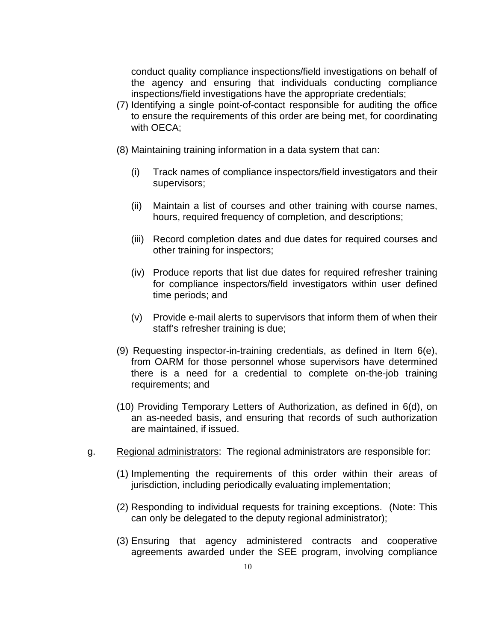conduct quality compliance inspections/field investigations on behalf of the agency and ensuring that individuals conducting compliance inspections/field investigations have the appropriate credentials;

- (7) Identifying a single point-of-contact responsible for auditing the office to ensure the requirements of this order are being met, for coordinating with OECA;
- (8) Maintaining training information in a data system that can:
	- (i) Track names of compliance inspectors/field investigators and their supervisors;
	- (ii) Maintain a list of courses and other training with course names, hours, required frequency of completion, and descriptions;
	- (iii) Record completion dates and due dates for required courses and other training for inspectors;
	- (iv) Produce reports that list due dates for required refresher training for compliance inspectors/field investigators within user defined time periods; and
	- (v) Provide e-mail alerts to supervisors that inform them of when their staff's refresher training is due;
- (9) Requesting inspector-in-training credentials, as defined in Item 6(e), from OARM for those personnel whose supervisors have determined there is a need for a credential to complete on-the-job training requirements; and
- (10) Providing Temporary Letters of Authorization, as defined in 6(d), on an as-needed basis, and ensuring that records of such authorization are maintained, if issued.
- g. Regional administrators: The regional administrators are responsible for:
	- (1) Implementing the requirements of this order within their areas of jurisdiction, including periodically evaluating implementation;
	- (2) Responding to individual requests for training exceptions. (Note: This can only be delegated to the deputy regional administrator);
	- (3) Ensuring that agency administered contracts and cooperative agreements awarded under the SEE program, involving compliance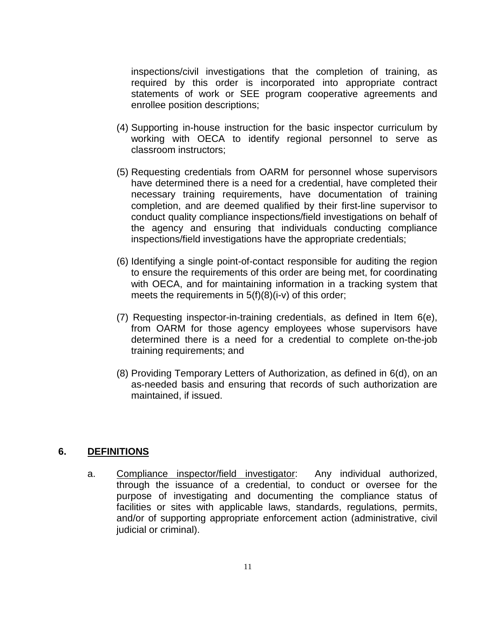inspections/civil investigations that the completion of training, as required by this order is incorporated into appropriate contract statements of work or SEE program cooperative agreements and enrollee position descriptions;

- (4) Supporting in-house instruction for the basic inspector curriculum by working with OECA to identify regional personnel to serve as classroom instructors;
- (5) Requesting credentials from OARM for personnel whose supervisors have determined there is a need for a credential, have completed their necessary training requirements, have documentation of training completion, and are deemed qualified by their first-line supervisor to conduct quality compliance inspections/field investigations on behalf of the agency and ensuring that individuals conducting compliance inspections/field investigations have the appropriate credentials;
- (6) Identifying a single point-of-contact responsible for auditing the region to ensure the requirements of this order are being met, for coordinating with OECA, and for maintaining information in a tracking system that meets the requirements in 5(f)(8)(i-v) of this order;
- (7) Requesting inspector-in-training credentials, as defined in Item 6(e), from OARM for those agency employees whose supervisors have determined there is a need for a credential to complete on-the-job training requirements; and
- (8) Providing Temporary Letters of Authorization, as defined in 6(d), on an as-needed basis and ensuring that records of such authorization are maintained, if issued.

## **6. DEFINITIONS**

a. Compliance inspector/field investigator: Any individual authorized, through the issuance of a credential, to conduct or oversee for the purpose of investigating and documenting the compliance status of facilities or sites with applicable laws, standards, regulations, permits, and/or of supporting appropriate enforcement action (administrative, civil judicial or criminal).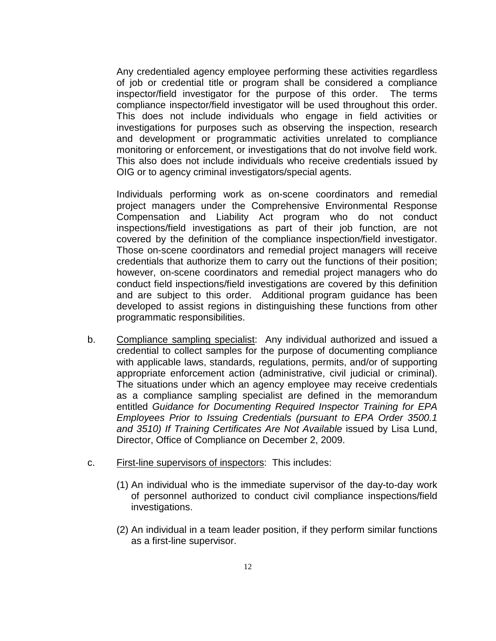Any credentialed agency employee performing these activities regardless of job or credential title or program shall be considered a compliance inspector/field investigator for the purpose of this order. The terms compliance inspector/field investigator will be used throughout this order. This does not include individuals who engage in field activities or investigations for purposes such as observing the inspection, research and development or programmatic activities unrelated to compliance monitoring or enforcement, or investigations that do not involve field work. This also does not include individuals who receive credentials issued by OIG or to agency criminal investigators/special agents.

Individuals performing work as on-scene coordinators and remedial project managers under the Comprehensive Environmental Response Compensation and Liability Act program who do not conduct inspections/field investigations as part of their job function, are not covered by the definition of the compliance inspection/field investigator. Those on-scene coordinators and remedial project managers will receive credentials that authorize them to carry out the functions of their position; however, on-scene coordinators and remedial project managers who do conduct field inspections/field investigations are covered by this definition and are subject to this order. Additional program guidance has been developed to assist regions in distinguishing these functions from other programmatic responsibilities.

- b. Compliance sampling specialist: Any individual authorized and issued a credential to collect samples for the purpose of documenting compliance with applicable laws, standards, regulations, permits, and/or of supporting appropriate enforcement action (administrative, civil judicial or criminal). The situations under which an agency employee may receive credentials as a compliance sampling specialist are defined in the memorandum entitled *Guidance for Documenting Required Inspector Training for EPA Employees Prior to Issuing Credentials (pursuant to EPA Order 3500.1 and 3510) If Training Certificates Are Not Available* issued by Lisa Lund, Director, Office of Compliance on December 2, 2009.
- c. First-line supervisors of inspectors: This includes:
	- (1) An individual who is the immediate supervisor of the day-to-day work of personnel authorized to conduct civil compliance inspections/field investigations.
	- (2) An individual in a team leader position, if they perform similar functions as a first-line supervisor.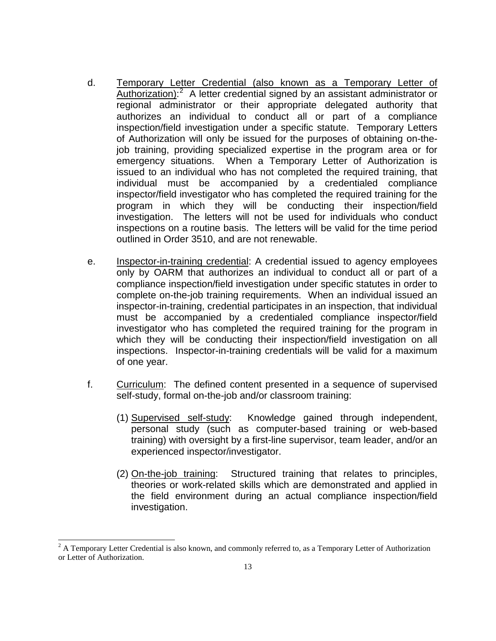- d. Temporary Letter Credential (also known as a Temporary Letter of Authorization):<sup>[2](#page-12-0)</sup> A letter credential signed by an assistant administrator or regional administrator or their appropriate delegated authority that authorizes an individual to conduct all or part of a compliance inspection/field investigation under a specific statute. Temporary Letters of Authorization will only be issued for the purposes of obtaining on-thejob training, providing specialized expertise in the program area or for emergency situations. When a Temporary Letter of Authorization is issued to an individual who has not completed the required training, that individual must be accompanied by a credentialed compliance inspector/field investigator who has completed the required training for the program in which they will be conducting their inspection/field investigation. The letters will not be used for individuals who conduct inspections on a routine basis. The letters will be valid for the time period outlined in Order 3510, and are not renewable.
- e. Inspector-in-training credential: A credential issued to agency employees only by OARM that authorizes an individual to conduct all or part of a compliance inspection/field investigation under specific statutes in order to complete on-the-job training requirements. When an individual issued an inspector-in-training, credential participates in an inspection, that individual must be accompanied by a credentialed compliance inspector/field investigator who has completed the required training for the program in which they will be conducting their inspection/field investigation on all inspections. Inspector-in-training credentials will be valid for a maximum of one year.
- f. Curriculum: The defined content presented in a sequence of supervised self-study, formal on-the-job and/or classroom training:
	- (1) Supervised self-study: Knowledge gained through independent, personal study (such as computer-based training or web-based training) with oversight by a first-line supervisor, team leader, and/or an experienced inspector/investigator.
	- (2) On-the-job training: Structured training that relates to principles, theories or work-related skills which are demonstrated and applied in the field environment during an actual compliance inspection/field investigation.

 $\overline{a}$ 

<span id="page-12-0"></span> $2^2$  A Temporary Letter Credential is also known, and commonly referred to, as a Temporary Letter of Authorization or Letter of Authorization.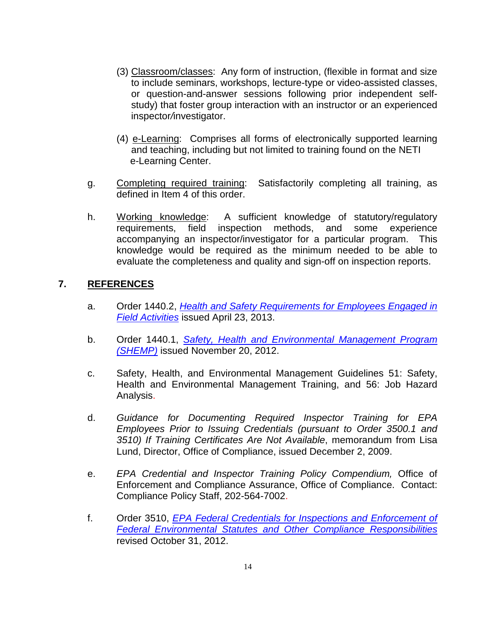- (3) Classroom/classes: Any form of instruction, (flexible in format and size to include seminars, workshops, lecture-type or video-assisted classes, or question-and-answer sessions following prior independent selfstudy) that foster group interaction with an instructor or an experienced inspector*/*investigator.
- (4) e-Learning: Comprises all forms of electronically supported learning and teaching, including but not limited to training found on the NETI e-Learning Center.
- g. Completing required training: Satisfactorily completing all training, as defined in Item 4 of this order.
- h. Working knowledge: A sufficient knowledge of statutory/regulatory requirements, field inspection methods, and some experience accompanying an inspector/investigator for a particular program. This knowledge would be required as the minimum needed to be able to evaluate the completeness and quality and sign-off on inspection reports.

## **7. REFERENCES**

- a. Order 1440.2, *[Health and Safety Requirements for Employees Engaged in](http://intranet.epa.gov/ohr/rmpolicy/ads/orders/1440-2-new.pdf)  [Field Activities](http://intranet.epa.gov/ohr/rmpolicy/ads/orders/1440-2-new.pdf)* issued April 23, 2013.
- b. Order 1440.1, *[Safety, Health and Environmental Management Program](http://intranet.epa.gov/ohr/rmpolicy/ads/orders/1440_1.pdf)  [\(SHEMP\)](http://intranet.epa.gov/ohr/rmpolicy/ads/orders/1440_1.pdf)* issued November 20, 2012.
- c. Safety, Health, and Environmental Management Guidelines 51: Safety, Health and Environmental Management Training, and 56: Job Hazard Analysis.
- d. *Guidance for Documenting Required Inspector Training for EPA Employees Prior to Issuing Credentials (pursuant to Order 3500.1 and 3510) If Training Certificates Are Not Available*, memorandum from Lisa Lund, Director, Office of Compliance, issued December 2, 2009.
- e. *EPA Credential and Inspector Training Policy Compendium,* Office of Enforcement and Compliance Assurance, Office of Compliance. Contact: Compliance Policy Staff, 202-564-7002.
- f. Order 3510, *[EPA Federal Credentials for Inspections and Enforcement of](http://intranet.epa.gov/ohr/rmpolicy/ads/orders/3510.pdf)  Federal Environmental Statutes [and Other Compliance Responsibilities](http://intranet.epa.gov/ohr/rmpolicy/ads/orders/3510.pdf)* revised October 31, 2012.